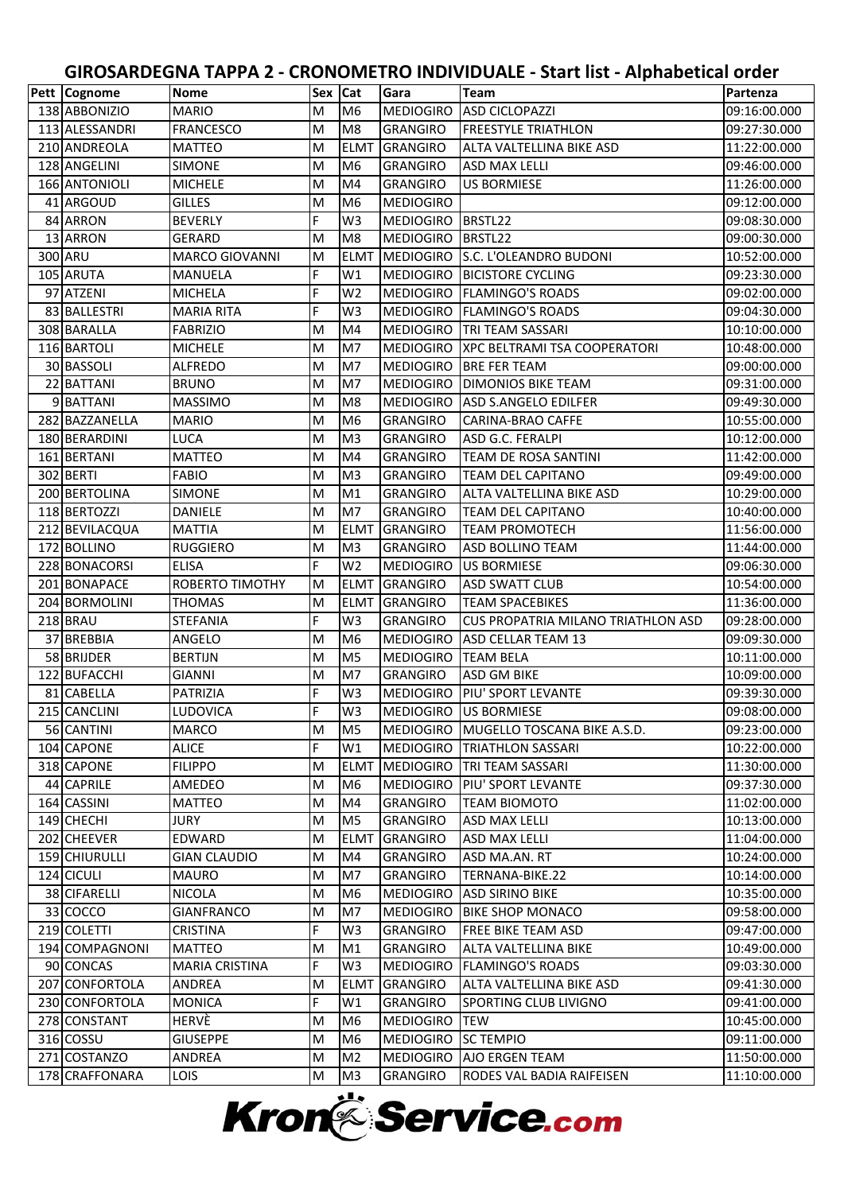| Pett   Cognome | Nome                  | Sex   Cat |                | Gara             | Team                                  | Partenza     |
|----------------|-----------------------|-----------|----------------|------------------|---------------------------------------|--------------|
| 138 ABBONIZIO  | <b>MARIO</b>          | M         | M <sub>6</sub> | <b>MEDIOGIRO</b> | <b>ASD CICLOPAZZI</b>                 | 09:16:00.000 |
| 113 ALESSANDRI | <b>FRANCESCO</b>      | M         | M <sub>8</sub> | <b>GRANGIRO</b>  | <b>FREESTYLE TRIATHLON</b>            | 09:27:30.000 |
| 210 ANDREOLA   | <b>MATTEO</b>         | M         | <b>ELMT</b>    | <b>GRANGIRO</b>  | ALTA VALTELLINA BIKE ASD              | 11:22:00.000 |
| 128 ANGELINI   | <b>SIMONE</b>         | M         | M <sub>6</sub> | <b>GRANGIRO</b>  | ASD MAX LELLI                         | 09:46:00.000 |
| 166 ANTONIOLI  | <b>MICHELE</b>        | M         | M4             | <b>GRANGIRO</b>  | <b>US BORMIESE</b>                    | 11:26:00.000 |
| 41 ARGOUD      | <b>GILLES</b>         | M         | M <sub>6</sub> | <b>MEDIOGIRO</b> |                                       | 09:12:00.000 |
| 84 ARRON       | <b>BEVERLY</b>        | F         | W <sub>3</sub> | <b>MEDIOGIRO</b> | BRSTL22                               | 09:08:30.000 |
| 13 ARRON       | <b>GERARD</b>         | M         | M <sub>8</sub> | <b>MEDIOGIRO</b> | BRSTL22                               | 09:00:30.000 |
| 300 ARU        | <b>MARCO GIOVANNI</b> | M         | <b>ELMT</b>    | <b>MEDIOGIRO</b> | S.C. L'OLEANDRO BUDONI                | 10:52:00.000 |
| 105 ARUTA      | <b>MANUELA</b>        | F         | W1             | MEDIOGIRO        | <b>BICISTORE CYCLING</b>              | 09:23:30.000 |
| 97 ATZENI      | <b>MICHELA</b>        | F         | W <sub>2</sub> | MEDIOGIRO        | <b>FLAMINGO'S ROADS</b>               | 09:02:00.000 |
| 83 BALLESTRI   | <b>MARIA RITA</b>     | F         | W <sub>3</sub> |                  | MEDIOGIRO   FLAMINGO'S ROADS          | 09:04:30.000 |
| 308 BARALLA    | <b>FABRIZIO</b>       | M         | M4             | <b>MEDIOGIRO</b> | <b>TRI TEAM SASSARI</b>               | 10:10:00.000 |
| 116 BARTOLI    | <b>MICHELE</b>        | M         | M7             | <b>MEDIOGIRO</b> | <b>XPC BELTRAMI TSA COOPERATORI</b>   | 10:48:00.000 |
| 30 BASSOLI     | <b>ALFREDO</b>        | M         | M7             | <b>MEDIOGIRO</b> | <b>BRE FER TEAM</b>                   | 09:00:00.000 |
| 22 BATTANI     | <b>BRUNO</b>          | M         | M7             | <b>MEDIOGIRO</b> | <b>DIMONIOS BIKE TEAM</b>             | 09:31:00.000 |
| 9 BATTANI      | <b>MASSIMO</b>        | M         | M <sub>8</sub> | <b>MEDIOGIRO</b> | <b>ASD S.ANGELO EDILFER</b>           | 09:49:30.000 |
| 282 BAZZANELLA | <b>MARIO</b>          | M         | M <sub>6</sub> | <b>GRANGIRO</b>  | <b>CARINA-BRAO CAFFE</b>              | 10:55:00.000 |
| 180 BERARDINI  | LUCA                  | M         | M <sub>3</sub> | <b>GRANGIRO</b>  | ASD G.C. FERALPI                      | 10:12:00.000 |
| 161 BERTANI    | MATTEO                | M         | M4             | <b>GRANGIRO</b>  | TEAM DE ROSA SANTINI                  | 11:42:00.000 |
| 302 BERTI      | <b>FABIO</b>          | M         | M <sub>3</sub> | <b>GRANGIRO</b>  | <b>TEAM DEL CAPITANO</b>              | 09:49:00.000 |
| 200 BERTOLINA  | <b>SIMONE</b>         | M         | M1             | <b>GRANGIRO</b>  | ALTA VALTELLINA BIKE ASD              | 10:29:00.000 |
| 118 BERTOZZI   | DANIELE               | M         | M7             | <b>GRANGIRO</b>  | TEAM DEL CAPITANO                     | 10:40:00.000 |
| 212 BEVILACQUA | <b>MATTIA</b>         | M         | <b>ELMT</b>    | <b>GRANGIRO</b>  | <b>TEAM PROMOTECH</b>                 | 11:56:00.000 |
| 172 BOLLINO    | <b>RUGGIERO</b>       | M         | M <sub>3</sub> | <b>GRANGIRO</b>  | ASD BOLLINO TEAM                      | 11:44:00.000 |
| 228 BONACORSI  | <b>ELISA</b>          | F         | W <sub>2</sub> | <b>MEDIOGIRO</b> | <b>US BORMIESE</b>                    | 09:06:30.000 |
| 201 BONAPACE   | ROBERTO TIMOTHY       | м         | <b>ELMT</b>    | <b>GRANGIRO</b>  | ASD SWATT CLUB                        | 10:54:00.000 |
| 204 BORMOLINI  | THOMAS                | M         | <b>ELMT</b>    | <b>GRANGIRO</b>  | <b>TEAM SPACEBIKES</b>                | 11:36:00.000 |
| 218 BRAU       | <b>STEFANIA</b>       | F         | W <sub>3</sub> | <b>GRANGIRO</b>  | CUS PROPATRIA MILANO TRIATHLON ASD    | 09:28:00.000 |
| 37 BREBBIA     | ANGELO                | M         | M <sub>6</sub> | <b>MEDIOGIRO</b> | ASD CELLAR TEAM 13                    | 09:09:30.000 |
| 58 BRIJDER     | <b>BERTIJN</b>        | M         | M <sub>5</sub> | <b>MEDIOGIRO</b> | <b>TEAM BELA</b>                      | 10:11:00.000 |
| 122 BUFACCHI   | <b>GIANNI</b>         | M         | M7             | <b>GRANGIRO</b>  | <b>ASD GM BIKE</b>                    | 10:09:00.000 |
| 81 CABELLA     | PATRIZIA              | F         | W <sub>3</sub> | <b>MEDIOGIRO</b> | PIU' SPORT LEVANTE                    | 09:39:30.000 |
| 215 CANCLINI   | LUDOVICA              | F         | W <sub>3</sub> |                  | MEDIOGIRO US BORMIESE                 | 09:08:00.000 |
| 56 CANTINI     | <b>MARCO</b>          | M         | M <sub>5</sub> |                  | MEDIOGIRO MUGELLO TOSCANA BIKE A.S.D. | 09:23:00.000 |
| 104 CAPONE     | <b>ALICE</b>          | F         | W1             | <b>MEDIOGIRO</b> | <b>TRIATHLON SASSARI</b>              | 10:22:00.000 |
| 318 CAPONE     | <b>FILIPPO</b>        | M         | <b>ELMT</b>    | <b>MEDIOGIRO</b> | TRI TEAM SASSARI                      | 11:30:00.000 |
| 44 CAPRILE     | AMEDEO                | M         | M <sub>6</sub> | <b>MEDIOGIRO</b> | PIU' SPORT LEVANTE                    | 09:37:30.000 |
| 164 CASSINI    | <b>MATTEO</b>         | M         | M4             | <b>GRANGIRO</b>  | <b>TEAM BIOMOTO</b>                   | 11:02:00.000 |
| 149 CHECHI     | JURY                  | M         | M <sub>5</sub> | <b>GRANGIRO</b>  | ASD MAX LELLI                         | 10:13:00.000 |
| 202 CHEEVER    | EDWARD                | M         | <b>ELMT</b>    | <b>GRANGIRO</b>  | ASD MAX LELLI                         | 11:04:00.000 |
| 159 CHIURULLI  | <b>GIAN CLAUDIO</b>   | M         | M4             | <b>GRANGIRO</b>  | ASD MA.AN. RT                         | 10:24:00.000 |
| 124 CICULI     | <b>MAURO</b>          | M         | M7             | <b>GRANGIRO</b>  | TERNANA-BIKE.22                       | 10:14:00.000 |
| 38 CIFARELLI   | NICOLA                | M         | M <sub>6</sub> | <b>MEDIOGIRO</b> | <b>ASD SIRINO BIKE</b>                | 10:35:00.000 |
| 33 COCCO       | <b>GIANFRANCO</b>     | M         | M7             | <b>MEDIOGIRO</b> | <b>BIKE SHOP MONACO</b>               | 09:58:00.000 |
| 219 COLETTI    | <b>CRISTINA</b>       | F         | W <sub>3</sub> | <b>GRANGIRO</b>  | <b>FREE BIKE TEAM ASD</b>             | 09:47:00.000 |
| 194 COMPAGNONI | <b>MATTEO</b>         | M         | M1             | <b>GRANGIRO</b>  | ALTA VALTELLINA BIKE                  | 10:49:00.000 |
| 90 CONCAS      | <b>MARIA CRISTINA</b> | F         | W <sub>3</sub> | <b>MEDIOGIRO</b> | <b>FLAMINGO'S ROADS</b>               | 09:03:30.000 |
| 207 CONFORTOLA | <b>ANDREA</b>         | M         | <b>ELMT</b>    | <b>GRANGIRO</b>  | ALTA VALTELLINA BIKE ASD              | 09:41:30.000 |
| 230 CONFORTOLA | <b>MONICA</b>         | F         | W1             | <b>GRANGIRO</b>  | <b>SPORTING CLUB LIVIGNO</b>          | 09:41:00.000 |
| 278 CONSTANT   | HERVÈ                 | M         | M <sub>6</sub> | <b>MEDIOGIRO</b> | <b>TEW</b>                            | 10:45:00.000 |
| 316 COSSU      | <b>GIUSEPPE</b>       | M         | M <sub>6</sub> | <b>MEDIOGIRO</b> | <b>SC TEMPIO</b>                      | 09:11:00.000 |
| 271 COSTANZO   | <b>ANDREA</b>         | M         | M <sub>2</sub> | <b>MEDIOGIRO</b> | <b>AJO ERGEN TEAM</b>                 | 11:50:00.000 |
| 178 CRAFFONARA | <b>LOIS</b>           | M         | M <sub>3</sub> | <b>GRANGIRO</b>  | RODES VAL BADIA RAIFEISEN             | 11:10:00.000 |

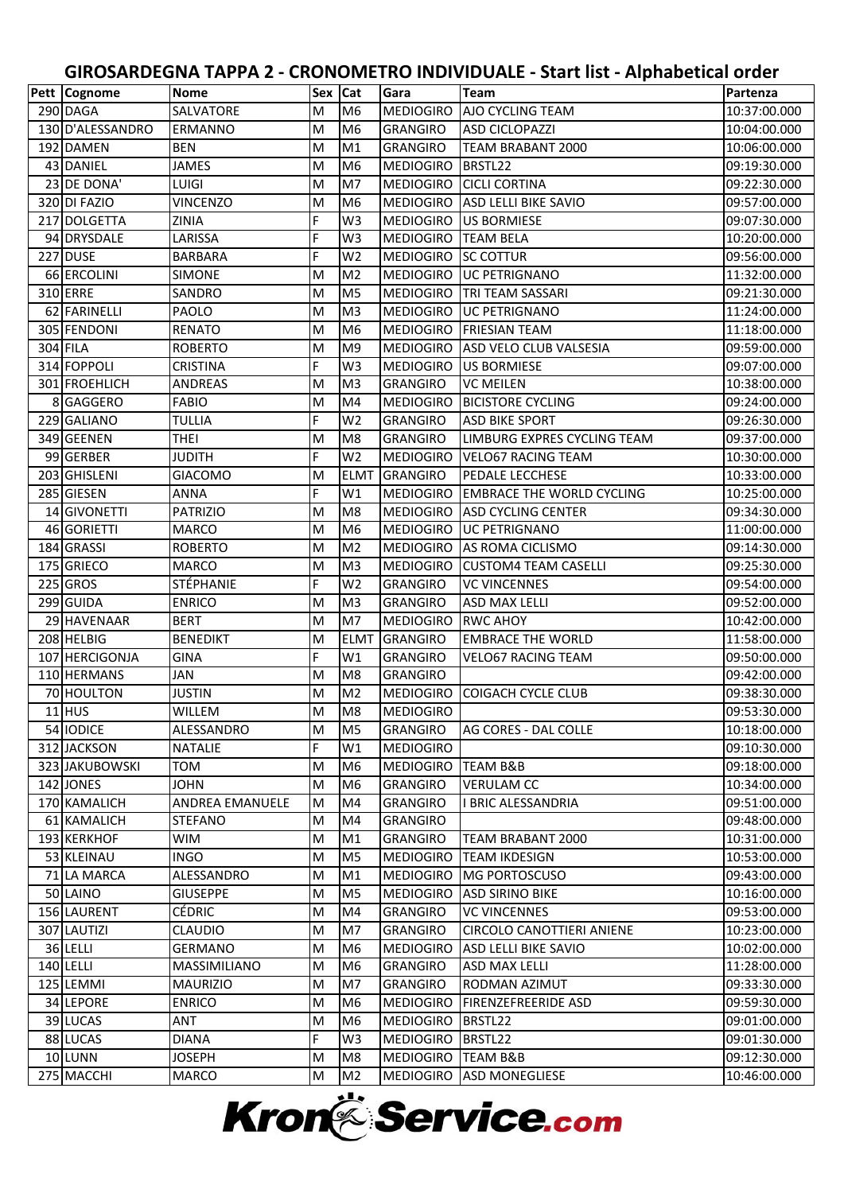| Pett   Cognome<br><b>Nome</b><br>Sex   Cat<br>Gara<br><b>Team</b>                                         | Partenza     |
|-----------------------------------------------------------------------------------------------------------|--------------|
| SALVATORE<br><b>MEDIOGIRO</b><br>AJO CYCLING TEAM<br>290 DAGA<br>M<br>M <sub>6</sub>                      | 10:37:00.000 |
| 130 D'ALESSANDRO<br>M<br>M <sub>6</sub><br><b>GRANGIRO</b><br><b>ASD CICLOPAZZI</b><br><b>ERMANNO</b>     | 10:04:00.000 |
| M<br>M1<br>192 DAMEN<br>TEAM BRABANT 2000<br><b>BEN</b><br><b>GRANGIRO</b>                                | 10:06:00.000 |
| M<br>43 DANIEL<br>JAMES<br>M <sub>6</sub><br><b>MEDIOGIRO</b><br>BRSTL22                                  | 09:19:30.000 |
| 23 DE DONA'<br>M<br>M7<br><b>CICLI CORTINA</b><br><b>LUIGI</b><br><b>MEDIOGIRO</b>                        | 09:22:30.000 |
| 320 DI FAZIO<br><b>VINCENZO</b><br>M<br>M <sub>6</sub><br><b>MEDIOGIRO</b><br><b>ASD LELLI BIKE SAVIO</b> | 09:57:00.000 |
| F<br>W <sub>3</sub><br><b>MEDIOGIRO</b><br>217 DOLGETTA<br><b>ZINIA</b><br><b>US BORMIESE</b>             | 09:07:30.000 |
| F<br>94 DRYSDALE<br>LARISSA<br>W <sub>3</sub><br><b>MEDIOGIRO</b><br><b>TEAM BELA</b>                     | 10:20:00.000 |
| F<br>227 DUSE<br>W <sub>2</sub><br><b>MEDIOGIRO</b><br><b>BARBARA</b><br><b>SC COTTUR</b>                 | 09:56:00.000 |
| 66 ERCOLINI<br>M<br>M <sub>2</sub><br><b>SIMONE</b><br><b>MEDIOGIRO</b><br><b>UC PETRIGNANO</b>           | 11:32:00.000 |
| M<br>M <sub>5</sub><br>310 ERRE<br><b>TRI TEAM SASSARI</b><br>SANDRO<br><b>MEDIOGIRO</b>                  | 09:21:30.000 |
| 62 FARINELLI<br>M<br>M <sub>3</sub><br>MEDIOGIRO<br><b>PAOLO</b><br><b>UC PETRIGNANO</b>                  | 11:24:00.000 |
| 305 FENDONI<br>M<br>M <sub>6</sub><br><b>RENATO</b><br><b>MEDIOGIRO</b><br><b>FRIESIAN TEAM</b>           | 11:18:00.000 |
| M <sub>9</sub><br>304 FILA<br><b>ROBERTO</b><br>M<br><b>MEDIOGIRO</b><br>ASD VELO CLUB VALSESIA           | 09:59:00.000 |
| F<br>314 FOPPOLI<br>W <sub>3</sub><br>CRISTINA<br><b>MEDIOGIRO</b><br><b>US BORMIESE</b>                  | 09:07:00.000 |
| 301 FROEHLICH<br>M<br><b>GRANGIRO</b><br><b>VC MEILEN</b><br><b>ANDREAS</b><br>M <sub>3</sub>             | 10:38:00.000 |
| M<br>M4<br>8 GAGGERO<br><b>FABIO</b><br><b>MEDIOGIRO</b><br><b>BICISTORE CYCLING</b>                      | 09:24:00.000 |
| F<br>W <sub>2</sub><br>229 GALIANO<br><b>TULLIA</b><br><b>ASD BIKE SPORT</b><br><b>GRANGIRO</b>           | 09:26:30.000 |
| 349 GEENEN<br><b>THEI</b><br>M<br>M <sub>8</sub><br><b>GRANGIRO</b><br>LIMBURG EXPRES CYCLING TEAM        | 09:37:00.000 |
| F<br>W <sub>2</sub><br>99 GERBER<br>JUDITH<br><b>MEDIOGIRO</b><br><b>VELO67 RACING TEAM</b>               | 10:30:00.000 |
| 203 GHISLENI<br><b>ELMT</b><br><b>GRANGIRO</b><br><b>PEDALE LECCHESE</b><br><b>GIACOMO</b><br>M           | 10:33:00.000 |
| F<br>285 GIESEN<br>W1<br><b>ANNA</b><br><b>MEDIOGIRO</b><br><b>EMBRACE THE WORLD CYCLING</b>              | 10:25:00.000 |
| 14 GIVONETTI<br>M<br>M <sub>8</sub><br><b>PATRIZIO</b><br><b>MEDIOGIRO</b><br><b>ASD CYCLING CENTER</b>   | 09:34:30.000 |
| 46 GORIETTI<br>M<br>M <sub>6</sub><br><b>UC PETRIGNANO</b><br><b>MARCO</b><br><b>MEDIOGIRO</b>            | 11:00:00.000 |
| M<br>M <sub>2</sub><br>184 GRASSI<br><b>ROBERTO</b><br><b>MEDIOGIRO</b><br>AS ROMA CICLISMO               | 09:14:30.000 |
| 175 GRIECO<br><b>MARCO</b><br>M<br>M <sub>3</sub><br><b>MEDIOGIRO</b><br><b>CUSTOM4 TEAM CASELLI</b>      | 09:25:30.000 |
| F<br>225 GROS<br>STÉPHANIE<br>W <sub>2</sub><br><b>GRANGIRO</b><br><b>VC VINCENNES</b>                    | 09:54:00.000 |
| 299 GUIDA<br><b>ENRICO</b><br>M<br>M <sub>3</sub><br><b>GRANGIRO</b><br><b>ASD MAX LELLI</b>              | 09:52:00.000 |
| 29 HAVENAAR<br><b>BERT</b><br>M<br>M <sub>7</sub><br><b>MEDIOGIRO</b><br><b>RWC AHOY</b>                  | 10:42:00.000 |
| 208 HELBIG<br><b>BENEDIKT</b><br>M<br><b>ELMT</b><br><b>GRANGIRO</b><br><b>EMBRACE THE WORLD</b>          | 11:58:00.000 |
| F<br>107 HERCIGONJA<br><b>GINA</b><br>W1<br><b>GRANGIRO</b><br><b>VELO67 RACING TEAM</b>                  | 09:50:00.000 |
| M<br>M <sub>8</sub><br>110 HERMANS<br>JAN<br><b>GRANGIRO</b>                                              | 09:42:00.000 |
| 70 HOULTON<br><b>JUSTIN</b><br>M<br>M <sub>2</sub><br><b>MEDIOGIRO</b><br><b>COIGACH CYCLE CLUB</b>       | 09:38:30.000 |
| $11$ HUS<br>Iм<br>M <sub>8</sub><br><b>MEDIOGIRO</b><br>WILLEM                                            | 09:53:30.000 |
| ALESSANDRO<br>M<br>AG CORES - DAL COLLE<br>54 IODICE<br>M <sub>5</sub><br><b>GRANGIRO</b>                 | 10:18:00.000 |
| F<br>312 JACKSON<br><b>NATALIE</b><br>W1<br><b>MEDIOGIRO</b>                                              | 09:10:30.000 |
| 323 JAKUBOWSKI<br><b>MEDIOGIRO</b><br><b>TEAM B&amp;B</b><br>TOM<br>M<br>M <sub>6</sub>                   | 09:18:00.000 |
| 142 JONES<br>M<br>M <sub>6</sub><br><b>VERULAM CC</b><br><b>JOHN</b><br><b>GRANGIRO</b>                   | 10:34:00.000 |
| 170 KAMALICH<br>M<br>M4<br><b>GRANGIRO</b><br>I BRIC ALESSANDRIA<br><b>ANDREA EMANUELE</b>                | 09:51:00.000 |
| 61 KAMALICH<br><b>GRANGIRO</b><br><b>STEFANO</b><br>M<br>M4                                               | 09:48:00.000 |
| 193 KERKHOF<br><b>WIM</b><br>M<br>M1<br><b>GRANGIRO</b><br>TEAM BRABANT 2000                              | 10:31:00.000 |
| 53 KLEINAU<br><b>INGO</b><br>M<br>M <sub>5</sub><br><b>MEDIOGIRO</b><br><b>TEAM IKDESIGN</b>              | 10:53:00.000 |
| 71 LA MARCA<br>ALESSANDRO<br>M<br>M1<br><b>MEDIOGIRO</b><br><b>MG PORTOSCUSO</b>                          | 09:43:00.000 |
| 50 LAINO<br>M<br>M <sub>5</sub><br><b>MEDIOGIRO</b><br><b>ASD SIRINO BIKE</b><br><b>GIUSEPPE</b>          | 10:16:00.000 |
| 156 LAURENT<br>CÉDRIC<br>M<br>M4<br><b>VC VINCENNES</b><br><b>GRANGIRO</b>                                | 09:53:00.000 |
| M<br>307 LAUTIZI<br>M7<br><b>CIRCOLO CANOTTIERI ANIENE</b><br><b>CLAUDIO</b><br><b>GRANGIRO</b>           | 10:23:00.000 |
| 36 LELLI<br>GERMANO<br><b>MEDIOGIRO</b><br>ASD LELLI BIKE SAVIO<br>M<br>M <sub>6</sub>                    | 10:02:00.000 |
| 140 LELLI<br>MASSIMILIANO<br>M<br>M <sub>6</sub><br><b>GRANGIRO</b><br><b>ASD MAX LELLI</b>               | 11:28:00.000 |
| 125 LEMMI<br>M<br>RODMAN AZIMUT<br><b>MAURIZIO</b><br>M7<br><b>GRANGIRO</b>                               | 09:33:30.000 |
| 34 LEPORE<br><b>ENRICO</b><br>M<br>M <sub>6</sub><br><b>MEDIOGIRO</b><br><b>FIRENZEFREERIDE ASD</b>       | 09:59:30.000 |
| 39 LUCAS<br><b>MEDIOGIRO</b><br>BRSTL22<br>ANT<br>M<br>M <sub>6</sub>                                     | 09:01:00.000 |
| F<br>88 LUCAS<br>W <sub>3</sub><br><b>DIANA</b><br><b>MEDIOGIRO</b><br>BRSTL22                            | 09:01:30.000 |
| 10 LUNN<br>M<br>M <sub>8</sub><br><b>MEDIOGIRO</b><br><b>JOSEPH</b><br><b>TEAM B&amp;B</b>                | 09:12:30.000 |
| 275 MACCHI<br>M<br>M <sub>2</sub><br>MEDIOGIRO<br><b>ASD MONEGLIESE</b><br>MARCO                          | 10:46:00.000 |

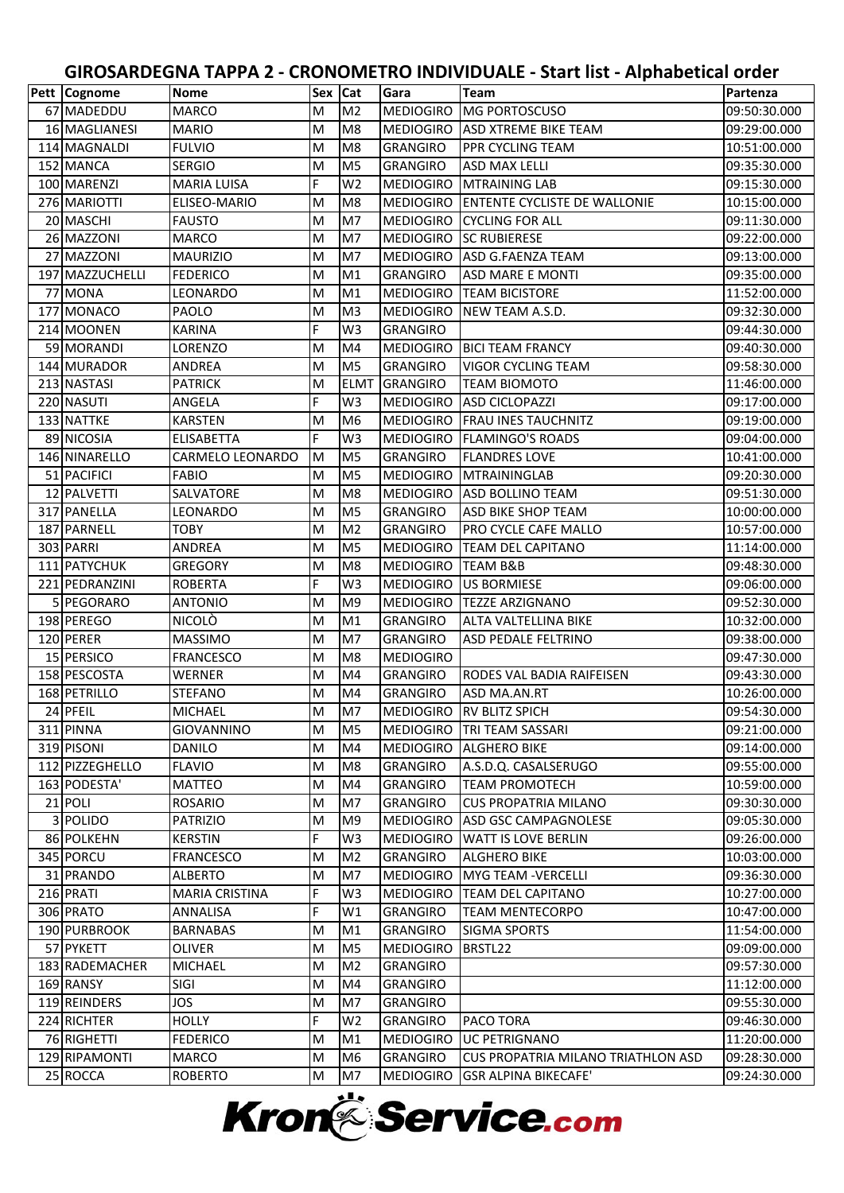| M<br><b>MEDIOGIRO</b><br>67 MADEDDU<br><b>MARCO</b><br>M <sub>2</sub><br><b>MG PORTOSCUSO</b><br>09:50:30.000<br>16 MAGLIANESI<br><b>MARIO</b><br>M<br>M <sub>8</sub><br><b>MEDIOGIRO</b><br><b>ASD XTREME BIKE TEAM</b><br>09:29:00.000<br>114 MAGNALDI<br><b>FULVIO</b><br>M<br>M <sub>8</sub><br>PPR CYCLING TEAM<br>10:51:00.000<br><b>GRANGIRO</b><br>M<br>152 MANCA<br>M <sub>5</sub><br><b>ASD MAX LELLI</b><br><b>SERGIO</b><br><b>GRANGIRO</b><br>09:35:30.000<br>F<br>100 MARENZI<br><b>MARIA LUISA</b><br>W <sub>2</sub><br><b>MEDIOGIRO</b><br><b>MTRAINING LAB</b><br>09:15:30.000<br>276 MARIOTTI<br>M<br><b>ENTENTE CYCLISTE DE WALLONIE</b><br>ELISEO-MARIO<br>M <sub>8</sub><br><b>MEDIOGIRO</b><br>10:15:00.000<br>20 MASCHI<br>M<br>M7<br><b>MEDIOGIRO</b><br><b>CYCLING FOR ALL</b><br>09:11:30.000<br><b>FAUSTO</b><br>26 MAZZONI<br><b>MARCO</b><br>M<br>M <sub>7</sub><br><b>MEDIOGIRO</b><br><b>SC RUBIERESE</b><br>09:22:00.000<br>27 MAZZONI<br>M<br>M7<br><b>MEDIOGIRO</b><br><b>ASD G.FAENZA TEAM</b><br><b>MAURIZIO</b><br>09:13:00.000<br>M<br>M <sub>1</sub><br>197 MAZZUCHELLI<br><b>FEDERICO</b><br><b>GRANGIRO</b><br><b>ASD MARE E MONTI</b><br>09:35:00.000<br>M<br>77 MONA<br>M <sub>1</sub><br><b>TEAM BICISTORE</b><br>11:52:00.000<br>LEONARDO<br><b>MEDIOGIRO</b><br>177 MONACO<br>M<br>M <sub>3</sub><br><b>MEDIOGIRO</b><br><b>PAOLO</b><br>NEW TEAM A.S.D.<br>09:32:30.000<br>F<br>214 MOONEN<br>W <sub>3</sub><br><b>KARINA</b><br><b>GRANGIRO</b><br>09:44:30.000<br>59 MORANDI<br>LORENZO<br>M<br>M4<br><b>MEDIOGIRO</b><br><b>BICI TEAM FRANCY</b><br>09:40:30.000<br>144 MURADOR<br><b>ANDREA</b><br>M<br>M <sub>5</sub><br><b>GRANGIRO</b><br><b>VIGOR CYCLING TEAM</b><br>09:58:30.000<br>213 NASTASI<br><b>ELMT</b><br><b>GRANGIRO</b><br><b>PATRICK</b><br>M<br><b>TEAM BIOMOTO</b><br>11:46:00.000<br>F<br>W <sub>3</sub><br>220 NASUTI<br>ANGELA<br><b>MEDIOGIRO</b><br><b>ASD CICLOPAZZI</b><br>09:17:00.000<br>M<br>M <sub>6</sub><br>133 NATTKE<br><b>KARSTEN</b><br><b>MEDIOGIRO</b><br><b>FRAU INES TAUCHNITZ</b><br>09:19:00.000<br>F<br>89 NICOSIA<br>W <sub>3</sub><br><b>MEDIOGIRO</b><br><b>FLAMINGO'S ROADS</b><br><b>ELISABETTA</b><br>09:04:00.000<br>146 NINARELLO<br><b>FLANDRES LOVE</b><br>CARMELO LEONARDO<br>ΙM<br>M <sub>5</sub><br><b>GRANGIRO</b><br>10:41:00.000<br>51 PACIFICI<br><b>MEDIOGIRO</b><br>FABIO<br>M<br>M <sub>5</sub><br><b>MTRAININGLAB</b><br>09:20:30.000<br>M<br>12 PALVETTI<br>SALVATORE<br>M <sub>8</sub><br><b>MEDIOGIRO</b><br><b>ASD BOLLINO TEAM</b><br>09:51:30.000<br>317 PANELLA<br>M<br>M <sub>5</sub><br><b>GRANGIRO</b><br><b>ASD BIKE SHOP TEAM</b><br>10:00:00.000<br>LEONARDO<br>M <sub>2</sub><br>PRO CYCLE CAFE MALLO<br>187 PARNELL<br><b>TOBY</b><br>M<br><b>GRANGIRO</b><br>10:57:00.000<br>303 PARRI<br>M<br>M <sub>5</sub><br>11:14:00.000<br>ANDREA<br><b>MEDIOGIRO</b><br><b>TEAM DEL CAPITANO</b><br>111 PATYCHUK<br><b>GREGORY</b><br>M<br>M <sub>8</sub><br><b>MEDIOGIRO</b><br><b>TEAM B&amp;B</b><br>09:48:30.000<br>F<br>221 PEDRANZINI<br>W <sub>3</sub><br><b>ROBERTA</b><br><b>MEDIOGIRO</b><br><b>US BORMIESE</b><br>09:06:00.000<br>5 PEGORARO<br>M<br>M <sub>9</sub><br><b>MEDIOGIRO</b><br><b>TEZZE ARZIGNANO</b><br>09:52:30.000<br><b>ANTONIO</b><br>198 PEREGO<br><b>NICOLÒ</b><br>M<br>M <sub>1</sub><br><b>GRANGIRO</b><br>ALTA VALTELLINA BIKE<br>10:32:00.000<br>120 PERER<br><b>MASSIMO</b><br>M<br>M7<br><b>GRANGIRO</b><br>09:38:00.000<br><b>ASD PEDALE FELTRINO</b><br>15 PERSICO<br><b>FRANCESCO</b><br>M<br>M <sub>8</sub><br><b>MEDIOGIRO</b><br>09:47:30.000<br>158 PESCOSTA<br>M<br>M4<br><b>GRANGIRO</b><br>RODES VAL BADIA RAIFEISEN<br>09:43:30.000<br>WERNER<br>M4<br>168 PETRILLO<br><b>STEFANO</b><br>M<br><b>GRANGIRO</b><br>ASD MA.AN.RT<br>10:26:00.000<br>24 PFEIL<br>M<br><b>MICHAEL</b><br>M7<br><b>MEDIOGIRO</b><br>09:54:30.000<br><b>RV BLITZ SPICH</b><br>311 PINNA<br>M<br>M <sub>5</sub><br>MEDIOGIRO TRI TEAM SASSARI<br>09:21:00.000<br><b>GIOVANNINO</b><br>319 PISONI<br>M<br><b>DANILO</b><br>M4<br>MEDIOGIRO ALGHERO BIKE<br>09:14:00.000<br>112 PIZZEGHELLO<br><b>FLAVIO</b><br>M<br>M <sub>8</sub><br><b>GRANGIRO</b><br>A.S.D.Q. CASALSERUGO<br>09:55:00.000<br>163 PODESTA'<br>M4<br><b>GRANGIRO</b><br>10:59:00.000<br>MATTEO<br>M<br><b>TEAM PROMOTECH</b><br>21 POLI<br>M<br>M7<br><b>ROSARIO</b><br><b>GRANGIRO</b><br><b>CUS PROPATRIA MILANO</b><br>09:30:30.000<br>3 POLIDO<br>M<br>M <sub>9</sub><br><b>MEDIOGIRO</b><br>ASD GSC CAMPAGNOLESE<br><b>PATRIZIO</b><br>09:05:30.000<br>F<br>86 POLKEHN<br><b>MEDIOGIRO</b><br><b>KERSTIN</b><br>W <sub>3</sub><br>WATT IS LOVE BERLIN<br>09:26:00.000<br>345 PORCU<br><b>GRANGIRO</b><br><b>ALGHERO BIKE</b><br>10:03:00.000<br><b>FRANCESCO</b><br>M<br>M <sub>2</sub><br>31 PRANDO<br><b>ALBERTO</b><br>M<br>M7<br><b>MEDIOGIRO</b><br><b>MYG TEAM - VERCELLI</b><br>09:36:30.000<br>F<br>216 PRATI<br><b>MARIA CRISTINA</b><br><b>MEDIOGIRO</b><br>TEAM DEL CAPITANO<br>10:27:00.000<br>W <sub>3</sub><br>F<br>306 PRATO<br><b>GRANGIRO</b><br><b>TEAM MENTECORPO</b><br><b>ANNALISA</b><br>W1<br>10:47:00.000<br>190 PURBROOK<br>M<br>M1<br><b>GRANGIRO</b><br>11:54:00.000<br><b>BARNABAS</b><br><b>SIGMA SPORTS</b><br>57 PYKETT<br>M<br>M <sub>5</sub><br>OLIVER<br><b>MEDIOGIRO</b><br>BRSTL22<br>09:09:00.000<br>183 RADEMACHER<br><b>MICHAEL</b><br>M<br>M <sub>2</sub><br>09:57:30.000<br><b>GRANGIRO</b><br>169 RANSY<br>M<br>M4<br><b>GRANGIRO</b><br>11:12:00.000<br>SIGI<br>119 REINDERS<br>09:55:30.000<br>JOS<br>M<br>M7<br><b>GRANGIRO</b><br>F<br>224 RICHTER<br><b>HOLLY</b><br>W <sub>2</sub><br><b>GRANGIRO</b><br>PACO TORA<br>09:46:30.000<br>76 RIGHETTI<br><b>UC PETRIGNANO</b><br><b>FEDERICO</b><br>M<br>M1<br><b>MEDIOGIRO</b><br>11:20:00.000<br>129 RIPAMONTI<br>M<br>M <sub>6</sub><br><b>GRANGIRO</b><br><b>MARCO</b><br><b>CUS PROPATRIA MILANO TRIATHLON ASD</b><br>09:28:30.000<br>25 ROCCA | Pett   Cognome | <b>Nome</b>    | Sex Cat |    | Gara             | <b>Team</b>                 | Partenza     |
|------------------------------------------------------------------------------------------------------------------------------------------------------------------------------------------------------------------------------------------------------------------------------------------------------------------------------------------------------------------------------------------------------------------------------------------------------------------------------------------------------------------------------------------------------------------------------------------------------------------------------------------------------------------------------------------------------------------------------------------------------------------------------------------------------------------------------------------------------------------------------------------------------------------------------------------------------------------------------------------------------------------------------------------------------------------------------------------------------------------------------------------------------------------------------------------------------------------------------------------------------------------------------------------------------------------------------------------------------------------------------------------------------------------------------------------------------------------------------------------------------------------------------------------------------------------------------------------------------------------------------------------------------------------------------------------------------------------------------------------------------------------------------------------------------------------------------------------------------------------------------------------------------------------------------------------------------------------------------------------------------------------------------------------------------------------------------------------------------------------------------------------------------------------------------------------------------------------------------------------------------------------------------------------------------------------------------------------------------------------------------------------------------------------------------------------------------------------------------------------------------------------------------------------------------------------------------------------------------------------------------------------------------------------------------------------------------------------------------------------------------------------------------------------------------------------------------------------------------------------------------------------------------------------------------------------------------------------------------------------------------------------------------------------------------------------------------------------------------------------------------------------------------------------------------------------------------------------------------------------------------------------------------------------------------------------------------------------------------------------------------------------------------------------------------------------------------------------------------------------------------------------------------------------------------------------------------------------------------------------------------------------------------------------------------------------------------------------------------------------------------------------------------------------------------------------------------------------------------------------------------------------------------------------------------------------------------------------------------------------------------------------------------------------------------------------------------------------------------------------------------------------------------------------------------------------------------------------------------------------------------------------------------------------------------------------------------------------------------------------------------------------------------------------------------------------------------------------------------------------------------------------------------------------------------------------------------------------------------------------------------------------------------------------------------------------------------------------------------------------------------------------------------------------------------------------------------------------------------------------------------------------------------------------------------------------------------------------------------------------------------------------------------------------------------------------------------------------------------------------------------------------------------------------------------------------------------------------------------------------------------------------------------------------------------------------------------------------------------------------------------------------------------------------------------------------------------------------------------------------------------------------------------------------------------------------------------------------------------------------------------------------------------------------------------------------------------------------------------------------------------------------------------------------------------------------------------------------------------------------------------------------------------------------------------------------------------------------------|----------------|----------------|---------|----|------------------|-----------------------------|--------------|
|                                                                                                                                                                                                                                                                                                                                                                                                                                                                                                                                                                                                                                                                                                                                                                                                                                                                                                                                                                                                                                                                                                                                                                                                                                                                                                                                                                                                                                                                                                                                                                                                                                                                                                                                                                                                                                                                                                                                                                                                                                                                                                                                                                                                                                                                                                                                                                                                                                                                                                                                                                                                                                                                                                                                                                                                                                                                                                                                                                                                                                                                                                                                                                                                                                                                                                                                                                                                                                                                                                                                                                                                                                                                                                                                                                                                                                                                                                                                                                                                                                                                                                                                                                                                                                                                                                                                                                                                                                                                                                                                                                                                                                                                                                                                                                                                                                                                                                                                                                                                                                                                                                                                                                                                                                                                                                                                                                                                                                                                                                                                                                                                                                                                                                                                                                                                                                                                                                                                                                        |                |                |         |    |                  |                             |              |
|                                                                                                                                                                                                                                                                                                                                                                                                                                                                                                                                                                                                                                                                                                                                                                                                                                                                                                                                                                                                                                                                                                                                                                                                                                                                                                                                                                                                                                                                                                                                                                                                                                                                                                                                                                                                                                                                                                                                                                                                                                                                                                                                                                                                                                                                                                                                                                                                                                                                                                                                                                                                                                                                                                                                                                                                                                                                                                                                                                                                                                                                                                                                                                                                                                                                                                                                                                                                                                                                                                                                                                                                                                                                                                                                                                                                                                                                                                                                                                                                                                                                                                                                                                                                                                                                                                                                                                                                                                                                                                                                                                                                                                                                                                                                                                                                                                                                                                                                                                                                                                                                                                                                                                                                                                                                                                                                                                                                                                                                                                                                                                                                                                                                                                                                                                                                                                                                                                                                                                        |                |                |         |    |                  |                             |              |
|                                                                                                                                                                                                                                                                                                                                                                                                                                                                                                                                                                                                                                                                                                                                                                                                                                                                                                                                                                                                                                                                                                                                                                                                                                                                                                                                                                                                                                                                                                                                                                                                                                                                                                                                                                                                                                                                                                                                                                                                                                                                                                                                                                                                                                                                                                                                                                                                                                                                                                                                                                                                                                                                                                                                                                                                                                                                                                                                                                                                                                                                                                                                                                                                                                                                                                                                                                                                                                                                                                                                                                                                                                                                                                                                                                                                                                                                                                                                                                                                                                                                                                                                                                                                                                                                                                                                                                                                                                                                                                                                                                                                                                                                                                                                                                                                                                                                                                                                                                                                                                                                                                                                                                                                                                                                                                                                                                                                                                                                                                                                                                                                                                                                                                                                                                                                                                                                                                                                                                        |                |                |         |    |                  |                             |              |
|                                                                                                                                                                                                                                                                                                                                                                                                                                                                                                                                                                                                                                                                                                                                                                                                                                                                                                                                                                                                                                                                                                                                                                                                                                                                                                                                                                                                                                                                                                                                                                                                                                                                                                                                                                                                                                                                                                                                                                                                                                                                                                                                                                                                                                                                                                                                                                                                                                                                                                                                                                                                                                                                                                                                                                                                                                                                                                                                                                                                                                                                                                                                                                                                                                                                                                                                                                                                                                                                                                                                                                                                                                                                                                                                                                                                                                                                                                                                                                                                                                                                                                                                                                                                                                                                                                                                                                                                                                                                                                                                                                                                                                                                                                                                                                                                                                                                                                                                                                                                                                                                                                                                                                                                                                                                                                                                                                                                                                                                                                                                                                                                                                                                                                                                                                                                                                                                                                                                                                        |                |                |         |    |                  |                             |              |
|                                                                                                                                                                                                                                                                                                                                                                                                                                                                                                                                                                                                                                                                                                                                                                                                                                                                                                                                                                                                                                                                                                                                                                                                                                                                                                                                                                                                                                                                                                                                                                                                                                                                                                                                                                                                                                                                                                                                                                                                                                                                                                                                                                                                                                                                                                                                                                                                                                                                                                                                                                                                                                                                                                                                                                                                                                                                                                                                                                                                                                                                                                                                                                                                                                                                                                                                                                                                                                                                                                                                                                                                                                                                                                                                                                                                                                                                                                                                                                                                                                                                                                                                                                                                                                                                                                                                                                                                                                                                                                                                                                                                                                                                                                                                                                                                                                                                                                                                                                                                                                                                                                                                                                                                                                                                                                                                                                                                                                                                                                                                                                                                                                                                                                                                                                                                                                                                                                                                                                        |                |                |         |    |                  |                             |              |
|                                                                                                                                                                                                                                                                                                                                                                                                                                                                                                                                                                                                                                                                                                                                                                                                                                                                                                                                                                                                                                                                                                                                                                                                                                                                                                                                                                                                                                                                                                                                                                                                                                                                                                                                                                                                                                                                                                                                                                                                                                                                                                                                                                                                                                                                                                                                                                                                                                                                                                                                                                                                                                                                                                                                                                                                                                                                                                                                                                                                                                                                                                                                                                                                                                                                                                                                                                                                                                                                                                                                                                                                                                                                                                                                                                                                                                                                                                                                                                                                                                                                                                                                                                                                                                                                                                                                                                                                                                                                                                                                                                                                                                                                                                                                                                                                                                                                                                                                                                                                                                                                                                                                                                                                                                                                                                                                                                                                                                                                                                                                                                                                                                                                                                                                                                                                                                                                                                                                                                        |                |                |         |    |                  |                             |              |
|                                                                                                                                                                                                                                                                                                                                                                                                                                                                                                                                                                                                                                                                                                                                                                                                                                                                                                                                                                                                                                                                                                                                                                                                                                                                                                                                                                                                                                                                                                                                                                                                                                                                                                                                                                                                                                                                                                                                                                                                                                                                                                                                                                                                                                                                                                                                                                                                                                                                                                                                                                                                                                                                                                                                                                                                                                                                                                                                                                                                                                                                                                                                                                                                                                                                                                                                                                                                                                                                                                                                                                                                                                                                                                                                                                                                                                                                                                                                                                                                                                                                                                                                                                                                                                                                                                                                                                                                                                                                                                                                                                                                                                                                                                                                                                                                                                                                                                                                                                                                                                                                                                                                                                                                                                                                                                                                                                                                                                                                                                                                                                                                                                                                                                                                                                                                                                                                                                                                                                        |                |                |         |    |                  |                             |              |
|                                                                                                                                                                                                                                                                                                                                                                                                                                                                                                                                                                                                                                                                                                                                                                                                                                                                                                                                                                                                                                                                                                                                                                                                                                                                                                                                                                                                                                                                                                                                                                                                                                                                                                                                                                                                                                                                                                                                                                                                                                                                                                                                                                                                                                                                                                                                                                                                                                                                                                                                                                                                                                                                                                                                                                                                                                                                                                                                                                                                                                                                                                                                                                                                                                                                                                                                                                                                                                                                                                                                                                                                                                                                                                                                                                                                                                                                                                                                                                                                                                                                                                                                                                                                                                                                                                                                                                                                                                                                                                                                                                                                                                                                                                                                                                                                                                                                                                                                                                                                                                                                                                                                                                                                                                                                                                                                                                                                                                                                                                                                                                                                                                                                                                                                                                                                                                                                                                                                                                        |                |                |         |    |                  |                             |              |
|                                                                                                                                                                                                                                                                                                                                                                                                                                                                                                                                                                                                                                                                                                                                                                                                                                                                                                                                                                                                                                                                                                                                                                                                                                                                                                                                                                                                                                                                                                                                                                                                                                                                                                                                                                                                                                                                                                                                                                                                                                                                                                                                                                                                                                                                                                                                                                                                                                                                                                                                                                                                                                                                                                                                                                                                                                                                                                                                                                                                                                                                                                                                                                                                                                                                                                                                                                                                                                                                                                                                                                                                                                                                                                                                                                                                                                                                                                                                                                                                                                                                                                                                                                                                                                                                                                                                                                                                                                                                                                                                                                                                                                                                                                                                                                                                                                                                                                                                                                                                                                                                                                                                                                                                                                                                                                                                                                                                                                                                                                                                                                                                                                                                                                                                                                                                                                                                                                                                                                        |                |                |         |    |                  |                             |              |
|                                                                                                                                                                                                                                                                                                                                                                                                                                                                                                                                                                                                                                                                                                                                                                                                                                                                                                                                                                                                                                                                                                                                                                                                                                                                                                                                                                                                                                                                                                                                                                                                                                                                                                                                                                                                                                                                                                                                                                                                                                                                                                                                                                                                                                                                                                                                                                                                                                                                                                                                                                                                                                                                                                                                                                                                                                                                                                                                                                                                                                                                                                                                                                                                                                                                                                                                                                                                                                                                                                                                                                                                                                                                                                                                                                                                                                                                                                                                                                                                                                                                                                                                                                                                                                                                                                                                                                                                                                                                                                                                                                                                                                                                                                                                                                                                                                                                                                                                                                                                                                                                                                                                                                                                                                                                                                                                                                                                                                                                                                                                                                                                                                                                                                                                                                                                                                                                                                                                                                        |                |                |         |    |                  |                             |              |
|                                                                                                                                                                                                                                                                                                                                                                                                                                                                                                                                                                                                                                                                                                                                                                                                                                                                                                                                                                                                                                                                                                                                                                                                                                                                                                                                                                                                                                                                                                                                                                                                                                                                                                                                                                                                                                                                                                                                                                                                                                                                                                                                                                                                                                                                                                                                                                                                                                                                                                                                                                                                                                                                                                                                                                                                                                                                                                                                                                                                                                                                                                                                                                                                                                                                                                                                                                                                                                                                                                                                                                                                                                                                                                                                                                                                                                                                                                                                                                                                                                                                                                                                                                                                                                                                                                                                                                                                                                                                                                                                                                                                                                                                                                                                                                                                                                                                                                                                                                                                                                                                                                                                                                                                                                                                                                                                                                                                                                                                                                                                                                                                                                                                                                                                                                                                                                                                                                                                                                        |                |                |         |    |                  |                             |              |
|                                                                                                                                                                                                                                                                                                                                                                                                                                                                                                                                                                                                                                                                                                                                                                                                                                                                                                                                                                                                                                                                                                                                                                                                                                                                                                                                                                                                                                                                                                                                                                                                                                                                                                                                                                                                                                                                                                                                                                                                                                                                                                                                                                                                                                                                                                                                                                                                                                                                                                                                                                                                                                                                                                                                                                                                                                                                                                                                                                                                                                                                                                                                                                                                                                                                                                                                                                                                                                                                                                                                                                                                                                                                                                                                                                                                                                                                                                                                                                                                                                                                                                                                                                                                                                                                                                                                                                                                                                                                                                                                                                                                                                                                                                                                                                                                                                                                                                                                                                                                                                                                                                                                                                                                                                                                                                                                                                                                                                                                                                                                                                                                                                                                                                                                                                                                                                                                                                                                                                        |                |                |         |    |                  |                             |              |
|                                                                                                                                                                                                                                                                                                                                                                                                                                                                                                                                                                                                                                                                                                                                                                                                                                                                                                                                                                                                                                                                                                                                                                                                                                                                                                                                                                                                                                                                                                                                                                                                                                                                                                                                                                                                                                                                                                                                                                                                                                                                                                                                                                                                                                                                                                                                                                                                                                                                                                                                                                                                                                                                                                                                                                                                                                                                                                                                                                                                                                                                                                                                                                                                                                                                                                                                                                                                                                                                                                                                                                                                                                                                                                                                                                                                                                                                                                                                                                                                                                                                                                                                                                                                                                                                                                                                                                                                                                                                                                                                                                                                                                                                                                                                                                                                                                                                                                                                                                                                                                                                                                                                                                                                                                                                                                                                                                                                                                                                                                                                                                                                                                                                                                                                                                                                                                                                                                                                                                        |                |                |         |    |                  |                             |              |
|                                                                                                                                                                                                                                                                                                                                                                                                                                                                                                                                                                                                                                                                                                                                                                                                                                                                                                                                                                                                                                                                                                                                                                                                                                                                                                                                                                                                                                                                                                                                                                                                                                                                                                                                                                                                                                                                                                                                                                                                                                                                                                                                                                                                                                                                                                                                                                                                                                                                                                                                                                                                                                                                                                                                                                                                                                                                                                                                                                                                                                                                                                                                                                                                                                                                                                                                                                                                                                                                                                                                                                                                                                                                                                                                                                                                                                                                                                                                                                                                                                                                                                                                                                                                                                                                                                                                                                                                                                                                                                                                                                                                                                                                                                                                                                                                                                                                                                                                                                                                                                                                                                                                                                                                                                                                                                                                                                                                                                                                                                                                                                                                                                                                                                                                                                                                                                                                                                                                                                        |                |                |         |    |                  |                             |              |
|                                                                                                                                                                                                                                                                                                                                                                                                                                                                                                                                                                                                                                                                                                                                                                                                                                                                                                                                                                                                                                                                                                                                                                                                                                                                                                                                                                                                                                                                                                                                                                                                                                                                                                                                                                                                                                                                                                                                                                                                                                                                                                                                                                                                                                                                                                                                                                                                                                                                                                                                                                                                                                                                                                                                                                                                                                                                                                                                                                                                                                                                                                                                                                                                                                                                                                                                                                                                                                                                                                                                                                                                                                                                                                                                                                                                                                                                                                                                                                                                                                                                                                                                                                                                                                                                                                                                                                                                                                                                                                                                                                                                                                                                                                                                                                                                                                                                                                                                                                                                                                                                                                                                                                                                                                                                                                                                                                                                                                                                                                                                                                                                                                                                                                                                                                                                                                                                                                                                                                        |                |                |         |    |                  |                             |              |
|                                                                                                                                                                                                                                                                                                                                                                                                                                                                                                                                                                                                                                                                                                                                                                                                                                                                                                                                                                                                                                                                                                                                                                                                                                                                                                                                                                                                                                                                                                                                                                                                                                                                                                                                                                                                                                                                                                                                                                                                                                                                                                                                                                                                                                                                                                                                                                                                                                                                                                                                                                                                                                                                                                                                                                                                                                                                                                                                                                                                                                                                                                                                                                                                                                                                                                                                                                                                                                                                                                                                                                                                                                                                                                                                                                                                                                                                                                                                                                                                                                                                                                                                                                                                                                                                                                                                                                                                                                                                                                                                                                                                                                                                                                                                                                                                                                                                                                                                                                                                                                                                                                                                                                                                                                                                                                                                                                                                                                                                                                                                                                                                                                                                                                                                                                                                                                                                                                                                                                        |                |                |         |    |                  |                             |              |
|                                                                                                                                                                                                                                                                                                                                                                                                                                                                                                                                                                                                                                                                                                                                                                                                                                                                                                                                                                                                                                                                                                                                                                                                                                                                                                                                                                                                                                                                                                                                                                                                                                                                                                                                                                                                                                                                                                                                                                                                                                                                                                                                                                                                                                                                                                                                                                                                                                                                                                                                                                                                                                                                                                                                                                                                                                                                                                                                                                                                                                                                                                                                                                                                                                                                                                                                                                                                                                                                                                                                                                                                                                                                                                                                                                                                                                                                                                                                                                                                                                                                                                                                                                                                                                                                                                                                                                                                                                                                                                                                                                                                                                                                                                                                                                                                                                                                                                                                                                                                                                                                                                                                                                                                                                                                                                                                                                                                                                                                                                                                                                                                                                                                                                                                                                                                                                                                                                                                                                        |                |                |         |    |                  |                             |              |
|                                                                                                                                                                                                                                                                                                                                                                                                                                                                                                                                                                                                                                                                                                                                                                                                                                                                                                                                                                                                                                                                                                                                                                                                                                                                                                                                                                                                                                                                                                                                                                                                                                                                                                                                                                                                                                                                                                                                                                                                                                                                                                                                                                                                                                                                                                                                                                                                                                                                                                                                                                                                                                                                                                                                                                                                                                                                                                                                                                                                                                                                                                                                                                                                                                                                                                                                                                                                                                                                                                                                                                                                                                                                                                                                                                                                                                                                                                                                                                                                                                                                                                                                                                                                                                                                                                                                                                                                                                                                                                                                                                                                                                                                                                                                                                                                                                                                                                                                                                                                                                                                                                                                                                                                                                                                                                                                                                                                                                                                                                                                                                                                                                                                                                                                                                                                                                                                                                                                                                        |                |                |         |    |                  |                             |              |
|                                                                                                                                                                                                                                                                                                                                                                                                                                                                                                                                                                                                                                                                                                                                                                                                                                                                                                                                                                                                                                                                                                                                                                                                                                                                                                                                                                                                                                                                                                                                                                                                                                                                                                                                                                                                                                                                                                                                                                                                                                                                                                                                                                                                                                                                                                                                                                                                                                                                                                                                                                                                                                                                                                                                                                                                                                                                                                                                                                                                                                                                                                                                                                                                                                                                                                                                                                                                                                                                                                                                                                                                                                                                                                                                                                                                                                                                                                                                                                                                                                                                                                                                                                                                                                                                                                                                                                                                                                                                                                                                                                                                                                                                                                                                                                                                                                                                                                                                                                                                                                                                                                                                                                                                                                                                                                                                                                                                                                                                                                                                                                                                                                                                                                                                                                                                                                                                                                                                                                        |                |                |         |    |                  |                             |              |
|                                                                                                                                                                                                                                                                                                                                                                                                                                                                                                                                                                                                                                                                                                                                                                                                                                                                                                                                                                                                                                                                                                                                                                                                                                                                                                                                                                                                                                                                                                                                                                                                                                                                                                                                                                                                                                                                                                                                                                                                                                                                                                                                                                                                                                                                                                                                                                                                                                                                                                                                                                                                                                                                                                                                                                                                                                                                                                                                                                                                                                                                                                                                                                                                                                                                                                                                                                                                                                                                                                                                                                                                                                                                                                                                                                                                                                                                                                                                                                                                                                                                                                                                                                                                                                                                                                                                                                                                                                                                                                                                                                                                                                                                                                                                                                                                                                                                                                                                                                                                                                                                                                                                                                                                                                                                                                                                                                                                                                                                                                                                                                                                                                                                                                                                                                                                                                                                                                                                                                        |                |                |         |    |                  |                             |              |
|                                                                                                                                                                                                                                                                                                                                                                                                                                                                                                                                                                                                                                                                                                                                                                                                                                                                                                                                                                                                                                                                                                                                                                                                                                                                                                                                                                                                                                                                                                                                                                                                                                                                                                                                                                                                                                                                                                                                                                                                                                                                                                                                                                                                                                                                                                                                                                                                                                                                                                                                                                                                                                                                                                                                                                                                                                                                                                                                                                                                                                                                                                                                                                                                                                                                                                                                                                                                                                                                                                                                                                                                                                                                                                                                                                                                                                                                                                                                                                                                                                                                                                                                                                                                                                                                                                                                                                                                                                                                                                                                                                                                                                                                                                                                                                                                                                                                                                                                                                                                                                                                                                                                                                                                                                                                                                                                                                                                                                                                                                                                                                                                                                                                                                                                                                                                                                                                                                                                                                        |                |                |         |    |                  |                             |              |
|                                                                                                                                                                                                                                                                                                                                                                                                                                                                                                                                                                                                                                                                                                                                                                                                                                                                                                                                                                                                                                                                                                                                                                                                                                                                                                                                                                                                                                                                                                                                                                                                                                                                                                                                                                                                                                                                                                                                                                                                                                                                                                                                                                                                                                                                                                                                                                                                                                                                                                                                                                                                                                                                                                                                                                                                                                                                                                                                                                                                                                                                                                                                                                                                                                                                                                                                                                                                                                                                                                                                                                                                                                                                                                                                                                                                                                                                                                                                                                                                                                                                                                                                                                                                                                                                                                                                                                                                                                                                                                                                                                                                                                                                                                                                                                                                                                                                                                                                                                                                                                                                                                                                                                                                                                                                                                                                                                                                                                                                                                                                                                                                                                                                                                                                                                                                                                                                                                                                                                        |                |                |         |    |                  |                             |              |
|                                                                                                                                                                                                                                                                                                                                                                                                                                                                                                                                                                                                                                                                                                                                                                                                                                                                                                                                                                                                                                                                                                                                                                                                                                                                                                                                                                                                                                                                                                                                                                                                                                                                                                                                                                                                                                                                                                                                                                                                                                                                                                                                                                                                                                                                                                                                                                                                                                                                                                                                                                                                                                                                                                                                                                                                                                                                                                                                                                                                                                                                                                                                                                                                                                                                                                                                                                                                                                                                                                                                                                                                                                                                                                                                                                                                                                                                                                                                                                                                                                                                                                                                                                                                                                                                                                                                                                                                                                                                                                                                                                                                                                                                                                                                                                                                                                                                                                                                                                                                                                                                                                                                                                                                                                                                                                                                                                                                                                                                                                                                                                                                                                                                                                                                                                                                                                                                                                                                                                        |                |                |         |    |                  |                             |              |
|                                                                                                                                                                                                                                                                                                                                                                                                                                                                                                                                                                                                                                                                                                                                                                                                                                                                                                                                                                                                                                                                                                                                                                                                                                                                                                                                                                                                                                                                                                                                                                                                                                                                                                                                                                                                                                                                                                                                                                                                                                                                                                                                                                                                                                                                                                                                                                                                                                                                                                                                                                                                                                                                                                                                                                                                                                                                                                                                                                                                                                                                                                                                                                                                                                                                                                                                                                                                                                                                                                                                                                                                                                                                                                                                                                                                                                                                                                                                                                                                                                                                                                                                                                                                                                                                                                                                                                                                                                                                                                                                                                                                                                                                                                                                                                                                                                                                                                                                                                                                                                                                                                                                                                                                                                                                                                                                                                                                                                                                                                                                                                                                                                                                                                                                                                                                                                                                                                                                                                        |                |                |         |    |                  |                             |              |
|                                                                                                                                                                                                                                                                                                                                                                                                                                                                                                                                                                                                                                                                                                                                                                                                                                                                                                                                                                                                                                                                                                                                                                                                                                                                                                                                                                                                                                                                                                                                                                                                                                                                                                                                                                                                                                                                                                                                                                                                                                                                                                                                                                                                                                                                                                                                                                                                                                                                                                                                                                                                                                                                                                                                                                                                                                                                                                                                                                                                                                                                                                                                                                                                                                                                                                                                                                                                                                                                                                                                                                                                                                                                                                                                                                                                                                                                                                                                                                                                                                                                                                                                                                                                                                                                                                                                                                                                                                                                                                                                                                                                                                                                                                                                                                                                                                                                                                                                                                                                                                                                                                                                                                                                                                                                                                                                                                                                                                                                                                                                                                                                                                                                                                                                                                                                                                                                                                                                                                        |                |                |         |    |                  |                             |              |
|                                                                                                                                                                                                                                                                                                                                                                                                                                                                                                                                                                                                                                                                                                                                                                                                                                                                                                                                                                                                                                                                                                                                                                                                                                                                                                                                                                                                                                                                                                                                                                                                                                                                                                                                                                                                                                                                                                                                                                                                                                                                                                                                                                                                                                                                                                                                                                                                                                                                                                                                                                                                                                                                                                                                                                                                                                                                                                                                                                                                                                                                                                                                                                                                                                                                                                                                                                                                                                                                                                                                                                                                                                                                                                                                                                                                                                                                                                                                                                                                                                                                                                                                                                                                                                                                                                                                                                                                                                                                                                                                                                                                                                                                                                                                                                                                                                                                                                                                                                                                                                                                                                                                                                                                                                                                                                                                                                                                                                                                                                                                                                                                                                                                                                                                                                                                                                                                                                                                                                        |                |                |         |    |                  |                             |              |
|                                                                                                                                                                                                                                                                                                                                                                                                                                                                                                                                                                                                                                                                                                                                                                                                                                                                                                                                                                                                                                                                                                                                                                                                                                                                                                                                                                                                                                                                                                                                                                                                                                                                                                                                                                                                                                                                                                                                                                                                                                                                                                                                                                                                                                                                                                                                                                                                                                                                                                                                                                                                                                                                                                                                                                                                                                                                                                                                                                                                                                                                                                                                                                                                                                                                                                                                                                                                                                                                                                                                                                                                                                                                                                                                                                                                                                                                                                                                                                                                                                                                                                                                                                                                                                                                                                                                                                                                                                                                                                                                                                                                                                                                                                                                                                                                                                                                                                                                                                                                                                                                                                                                                                                                                                                                                                                                                                                                                                                                                                                                                                                                                                                                                                                                                                                                                                                                                                                                                                        |                |                |         |    |                  |                             |              |
|                                                                                                                                                                                                                                                                                                                                                                                                                                                                                                                                                                                                                                                                                                                                                                                                                                                                                                                                                                                                                                                                                                                                                                                                                                                                                                                                                                                                                                                                                                                                                                                                                                                                                                                                                                                                                                                                                                                                                                                                                                                                                                                                                                                                                                                                                                                                                                                                                                                                                                                                                                                                                                                                                                                                                                                                                                                                                                                                                                                                                                                                                                                                                                                                                                                                                                                                                                                                                                                                                                                                                                                                                                                                                                                                                                                                                                                                                                                                                                                                                                                                                                                                                                                                                                                                                                                                                                                                                                                                                                                                                                                                                                                                                                                                                                                                                                                                                                                                                                                                                                                                                                                                                                                                                                                                                                                                                                                                                                                                                                                                                                                                                                                                                                                                                                                                                                                                                                                                                                        |                |                |         |    |                  |                             |              |
|                                                                                                                                                                                                                                                                                                                                                                                                                                                                                                                                                                                                                                                                                                                                                                                                                                                                                                                                                                                                                                                                                                                                                                                                                                                                                                                                                                                                                                                                                                                                                                                                                                                                                                                                                                                                                                                                                                                                                                                                                                                                                                                                                                                                                                                                                                                                                                                                                                                                                                                                                                                                                                                                                                                                                                                                                                                                                                                                                                                                                                                                                                                                                                                                                                                                                                                                                                                                                                                                                                                                                                                                                                                                                                                                                                                                                                                                                                                                                                                                                                                                                                                                                                                                                                                                                                                                                                                                                                                                                                                                                                                                                                                                                                                                                                                                                                                                                                                                                                                                                                                                                                                                                                                                                                                                                                                                                                                                                                                                                                                                                                                                                                                                                                                                                                                                                                                                                                                                                                        |                |                |         |    |                  |                             |              |
|                                                                                                                                                                                                                                                                                                                                                                                                                                                                                                                                                                                                                                                                                                                                                                                                                                                                                                                                                                                                                                                                                                                                                                                                                                                                                                                                                                                                                                                                                                                                                                                                                                                                                                                                                                                                                                                                                                                                                                                                                                                                                                                                                                                                                                                                                                                                                                                                                                                                                                                                                                                                                                                                                                                                                                                                                                                                                                                                                                                                                                                                                                                                                                                                                                                                                                                                                                                                                                                                                                                                                                                                                                                                                                                                                                                                                                                                                                                                                                                                                                                                                                                                                                                                                                                                                                                                                                                                                                                                                                                                                                                                                                                                                                                                                                                                                                                                                                                                                                                                                                                                                                                                                                                                                                                                                                                                                                                                                                                                                                                                                                                                                                                                                                                                                                                                                                                                                                                                                                        |                |                |         |    |                  |                             |              |
|                                                                                                                                                                                                                                                                                                                                                                                                                                                                                                                                                                                                                                                                                                                                                                                                                                                                                                                                                                                                                                                                                                                                                                                                                                                                                                                                                                                                                                                                                                                                                                                                                                                                                                                                                                                                                                                                                                                                                                                                                                                                                                                                                                                                                                                                                                                                                                                                                                                                                                                                                                                                                                                                                                                                                                                                                                                                                                                                                                                                                                                                                                                                                                                                                                                                                                                                                                                                                                                                                                                                                                                                                                                                                                                                                                                                                                                                                                                                                                                                                                                                                                                                                                                                                                                                                                                                                                                                                                                                                                                                                                                                                                                                                                                                                                                                                                                                                                                                                                                                                                                                                                                                                                                                                                                                                                                                                                                                                                                                                                                                                                                                                                                                                                                                                                                                                                                                                                                                                                        |                |                |         |    |                  |                             |              |
|                                                                                                                                                                                                                                                                                                                                                                                                                                                                                                                                                                                                                                                                                                                                                                                                                                                                                                                                                                                                                                                                                                                                                                                                                                                                                                                                                                                                                                                                                                                                                                                                                                                                                                                                                                                                                                                                                                                                                                                                                                                                                                                                                                                                                                                                                                                                                                                                                                                                                                                                                                                                                                                                                                                                                                                                                                                                                                                                                                                                                                                                                                                                                                                                                                                                                                                                                                                                                                                                                                                                                                                                                                                                                                                                                                                                                                                                                                                                                                                                                                                                                                                                                                                                                                                                                                                                                                                                                                                                                                                                                                                                                                                                                                                                                                                                                                                                                                                                                                                                                                                                                                                                                                                                                                                                                                                                                                                                                                                                                                                                                                                                                                                                                                                                                                                                                                                                                                                                                                        |                |                |         |    |                  |                             |              |
|                                                                                                                                                                                                                                                                                                                                                                                                                                                                                                                                                                                                                                                                                                                                                                                                                                                                                                                                                                                                                                                                                                                                                                                                                                                                                                                                                                                                                                                                                                                                                                                                                                                                                                                                                                                                                                                                                                                                                                                                                                                                                                                                                                                                                                                                                                                                                                                                                                                                                                                                                                                                                                                                                                                                                                                                                                                                                                                                                                                                                                                                                                                                                                                                                                                                                                                                                                                                                                                                                                                                                                                                                                                                                                                                                                                                                                                                                                                                                                                                                                                                                                                                                                                                                                                                                                                                                                                                                                                                                                                                                                                                                                                                                                                                                                                                                                                                                                                                                                                                                                                                                                                                                                                                                                                                                                                                                                                                                                                                                                                                                                                                                                                                                                                                                                                                                                                                                                                                                                        |                |                |         |    |                  |                             |              |
|                                                                                                                                                                                                                                                                                                                                                                                                                                                                                                                                                                                                                                                                                                                                                                                                                                                                                                                                                                                                                                                                                                                                                                                                                                                                                                                                                                                                                                                                                                                                                                                                                                                                                                                                                                                                                                                                                                                                                                                                                                                                                                                                                                                                                                                                                                                                                                                                                                                                                                                                                                                                                                                                                                                                                                                                                                                                                                                                                                                                                                                                                                                                                                                                                                                                                                                                                                                                                                                                                                                                                                                                                                                                                                                                                                                                                                                                                                                                                                                                                                                                                                                                                                                                                                                                                                                                                                                                                                                                                                                                                                                                                                                                                                                                                                                                                                                                                                                                                                                                                                                                                                                                                                                                                                                                                                                                                                                                                                                                                                                                                                                                                                                                                                                                                                                                                                                                                                                                                                        |                |                |         |    |                  |                             |              |
|                                                                                                                                                                                                                                                                                                                                                                                                                                                                                                                                                                                                                                                                                                                                                                                                                                                                                                                                                                                                                                                                                                                                                                                                                                                                                                                                                                                                                                                                                                                                                                                                                                                                                                                                                                                                                                                                                                                                                                                                                                                                                                                                                                                                                                                                                                                                                                                                                                                                                                                                                                                                                                                                                                                                                                                                                                                                                                                                                                                                                                                                                                                                                                                                                                                                                                                                                                                                                                                                                                                                                                                                                                                                                                                                                                                                                                                                                                                                                                                                                                                                                                                                                                                                                                                                                                                                                                                                                                                                                                                                                                                                                                                                                                                                                                                                                                                                                                                                                                                                                                                                                                                                                                                                                                                                                                                                                                                                                                                                                                                                                                                                                                                                                                                                                                                                                                                                                                                                                                        |                |                |         |    |                  |                             |              |
|                                                                                                                                                                                                                                                                                                                                                                                                                                                                                                                                                                                                                                                                                                                                                                                                                                                                                                                                                                                                                                                                                                                                                                                                                                                                                                                                                                                                                                                                                                                                                                                                                                                                                                                                                                                                                                                                                                                                                                                                                                                                                                                                                                                                                                                                                                                                                                                                                                                                                                                                                                                                                                                                                                                                                                                                                                                                                                                                                                                                                                                                                                                                                                                                                                                                                                                                                                                                                                                                                                                                                                                                                                                                                                                                                                                                                                                                                                                                                                                                                                                                                                                                                                                                                                                                                                                                                                                                                                                                                                                                                                                                                                                                                                                                                                                                                                                                                                                                                                                                                                                                                                                                                                                                                                                                                                                                                                                                                                                                                                                                                                                                                                                                                                                                                                                                                                                                                                                                                                        |                |                |         |    |                  |                             |              |
|                                                                                                                                                                                                                                                                                                                                                                                                                                                                                                                                                                                                                                                                                                                                                                                                                                                                                                                                                                                                                                                                                                                                                                                                                                                                                                                                                                                                                                                                                                                                                                                                                                                                                                                                                                                                                                                                                                                                                                                                                                                                                                                                                                                                                                                                                                                                                                                                                                                                                                                                                                                                                                                                                                                                                                                                                                                                                                                                                                                                                                                                                                                                                                                                                                                                                                                                                                                                                                                                                                                                                                                                                                                                                                                                                                                                                                                                                                                                                                                                                                                                                                                                                                                                                                                                                                                                                                                                                                                                                                                                                                                                                                                                                                                                                                                                                                                                                                                                                                                                                                                                                                                                                                                                                                                                                                                                                                                                                                                                                                                                                                                                                                                                                                                                                                                                                                                                                                                                                                        |                |                |         |    |                  |                             |              |
|                                                                                                                                                                                                                                                                                                                                                                                                                                                                                                                                                                                                                                                                                                                                                                                                                                                                                                                                                                                                                                                                                                                                                                                                                                                                                                                                                                                                                                                                                                                                                                                                                                                                                                                                                                                                                                                                                                                                                                                                                                                                                                                                                                                                                                                                                                                                                                                                                                                                                                                                                                                                                                                                                                                                                                                                                                                                                                                                                                                                                                                                                                                                                                                                                                                                                                                                                                                                                                                                                                                                                                                                                                                                                                                                                                                                                                                                                                                                                                                                                                                                                                                                                                                                                                                                                                                                                                                                                                                                                                                                                                                                                                                                                                                                                                                                                                                                                                                                                                                                                                                                                                                                                                                                                                                                                                                                                                                                                                                                                                                                                                                                                                                                                                                                                                                                                                                                                                                                                                        |                |                |         |    |                  |                             |              |
|                                                                                                                                                                                                                                                                                                                                                                                                                                                                                                                                                                                                                                                                                                                                                                                                                                                                                                                                                                                                                                                                                                                                                                                                                                                                                                                                                                                                                                                                                                                                                                                                                                                                                                                                                                                                                                                                                                                                                                                                                                                                                                                                                                                                                                                                                                                                                                                                                                                                                                                                                                                                                                                                                                                                                                                                                                                                                                                                                                                                                                                                                                                                                                                                                                                                                                                                                                                                                                                                                                                                                                                                                                                                                                                                                                                                                                                                                                                                                                                                                                                                                                                                                                                                                                                                                                                                                                                                                                                                                                                                                                                                                                                                                                                                                                                                                                                                                                                                                                                                                                                                                                                                                                                                                                                                                                                                                                                                                                                                                                                                                                                                                                                                                                                                                                                                                                                                                                                                                                        |                |                |         |    |                  |                             |              |
|                                                                                                                                                                                                                                                                                                                                                                                                                                                                                                                                                                                                                                                                                                                                                                                                                                                                                                                                                                                                                                                                                                                                                                                                                                                                                                                                                                                                                                                                                                                                                                                                                                                                                                                                                                                                                                                                                                                                                                                                                                                                                                                                                                                                                                                                                                                                                                                                                                                                                                                                                                                                                                                                                                                                                                                                                                                                                                                                                                                                                                                                                                                                                                                                                                                                                                                                                                                                                                                                                                                                                                                                                                                                                                                                                                                                                                                                                                                                                                                                                                                                                                                                                                                                                                                                                                                                                                                                                                                                                                                                                                                                                                                                                                                                                                                                                                                                                                                                                                                                                                                                                                                                                                                                                                                                                                                                                                                                                                                                                                                                                                                                                                                                                                                                                                                                                                                                                                                                                                        |                |                |         |    |                  |                             |              |
|                                                                                                                                                                                                                                                                                                                                                                                                                                                                                                                                                                                                                                                                                                                                                                                                                                                                                                                                                                                                                                                                                                                                                                                                                                                                                                                                                                                                                                                                                                                                                                                                                                                                                                                                                                                                                                                                                                                                                                                                                                                                                                                                                                                                                                                                                                                                                                                                                                                                                                                                                                                                                                                                                                                                                                                                                                                                                                                                                                                                                                                                                                                                                                                                                                                                                                                                                                                                                                                                                                                                                                                                                                                                                                                                                                                                                                                                                                                                                                                                                                                                                                                                                                                                                                                                                                                                                                                                                                                                                                                                                                                                                                                                                                                                                                                                                                                                                                                                                                                                                                                                                                                                                                                                                                                                                                                                                                                                                                                                                                                                                                                                                                                                                                                                                                                                                                                                                                                                                                        |                |                |         |    |                  |                             |              |
|                                                                                                                                                                                                                                                                                                                                                                                                                                                                                                                                                                                                                                                                                                                                                                                                                                                                                                                                                                                                                                                                                                                                                                                                                                                                                                                                                                                                                                                                                                                                                                                                                                                                                                                                                                                                                                                                                                                                                                                                                                                                                                                                                                                                                                                                                                                                                                                                                                                                                                                                                                                                                                                                                                                                                                                                                                                                                                                                                                                                                                                                                                                                                                                                                                                                                                                                                                                                                                                                                                                                                                                                                                                                                                                                                                                                                                                                                                                                                                                                                                                                                                                                                                                                                                                                                                                                                                                                                                                                                                                                                                                                                                                                                                                                                                                                                                                                                                                                                                                                                                                                                                                                                                                                                                                                                                                                                                                                                                                                                                                                                                                                                                                                                                                                                                                                                                                                                                                                                                        |                |                |         |    |                  |                             |              |
|                                                                                                                                                                                                                                                                                                                                                                                                                                                                                                                                                                                                                                                                                                                                                                                                                                                                                                                                                                                                                                                                                                                                                                                                                                                                                                                                                                                                                                                                                                                                                                                                                                                                                                                                                                                                                                                                                                                                                                                                                                                                                                                                                                                                                                                                                                                                                                                                                                                                                                                                                                                                                                                                                                                                                                                                                                                                                                                                                                                                                                                                                                                                                                                                                                                                                                                                                                                                                                                                                                                                                                                                                                                                                                                                                                                                                                                                                                                                                                                                                                                                                                                                                                                                                                                                                                                                                                                                                                                                                                                                                                                                                                                                                                                                                                                                                                                                                                                                                                                                                                                                                                                                                                                                                                                                                                                                                                                                                                                                                                                                                                                                                                                                                                                                                                                                                                                                                                                                                                        |                |                |         |    |                  |                             |              |
|                                                                                                                                                                                                                                                                                                                                                                                                                                                                                                                                                                                                                                                                                                                                                                                                                                                                                                                                                                                                                                                                                                                                                                                                                                                                                                                                                                                                                                                                                                                                                                                                                                                                                                                                                                                                                                                                                                                                                                                                                                                                                                                                                                                                                                                                                                                                                                                                                                                                                                                                                                                                                                                                                                                                                                                                                                                                                                                                                                                                                                                                                                                                                                                                                                                                                                                                                                                                                                                                                                                                                                                                                                                                                                                                                                                                                                                                                                                                                                                                                                                                                                                                                                                                                                                                                                                                                                                                                                                                                                                                                                                                                                                                                                                                                                                                                                                                                                                                                                                                                                                                                                                                                                                                                                                                                                                                                                                                                                                                                                                                                                                                                                                                                                                                                                                                                                                                                                                                                                        |                |                |         |    |                  |                             |              |
|                                                                                                                                                                                                                                                                                                                                                                                                                                                                                                                                                                                                                                                                                                                                                                                                                                                                                                                                                                                                                                                                                                                                                                                                                                                                                                                                                                                                                                                                                                                                                                                                                                                                                                                                                                                                                                                                                                                                                                                                                                                                                                                                                                                                                                                                                                                                                                                                                                                                                                                                                                                                                                                                                                                                                                                                                                                                                                                                                                                                                                                                                                                                                                                                                                                                                                                                                                                                                                                                                                                                                                                                                                                                                                                                                                                                                                                                                                                                                                                                                                                                                                                                                                                                                                                                                                                                                                                                                                                                                                                                                                                                                                                                                                                                                                                                                                                                                                                                                                                                                                                                                                                                                                                                                                                                                                                                                                                                                                                                                                                                                                                                                                                                                                                                                                                                                                                                                                                                                                        |                |                |         |    |                  |                             |              |
|                                                                                                                                                                                                                                                                                                                                                                                                                                                                                                                                                                                                                                                                                                                                                                                                                                                                                                                                                                                                                                                                                                                                                                                                                                                                                                                                                                                                                                                                                                                                                                                                                                                                                                                                                                                                                                                                                                                                                                                                                                                                                                                                                                                                                                                                                                                                                                                                                                                                                                                                                                                                                                                                                                                                                                                                                                                                                                                                                                                                                                                                                                                                                                                                                                                                                                                                                                                                                                                                                                                                                                                                                                                                                                                                                                                                                                                                                                                                                                                                                                                                                                                                                                                                                                                                                                                                                                                                                                                                                                                                                                                                                                                                                                                                                                                                                                                                                                                                                                                                                                                                                                                                                                                                                                                                                                                                                                                                                                                                                                                                                                                                                                                                                                                                                                                                                                                                                                                                                                        |                |                |         |    |                  |                             |              |
|                                                                                                                                                                                                                                                                                                                                                                                                                                                                                                                                                                                                                                                                                                                                                                                                                                                                                                                                                                                                                                                                                                                                                                                                                                                                                                                                                                                                                                                                                                                                                                                                                                                                                                                                                                                                                                                                                                                                                                                                                                                                                                                                                                                                                                                                                                                                                                                                                                                                                                                                                                                                                                                                                                                                                                                                                                                                                                                                                                                                                                                                                                                                                                                                                                                                                                                                                                                                                                                                                                                                                                                                                                                                                                                                                                                                                                                                                                                                                                                                                                                                                                                                                                                                                                                                                                                                                                                                                                                                                                                                                                                                                                                                                                                                                                                                                                                                                                                                                                                                                                                                                                                                                                                                                                                                                                                                                                                                                                                                                                                                                                                                                                                                                                                                                                                                                                                                                                                                                                        |                |                |         |    |                  |                             |              |
|                                                                                                                                                                                                                                                                                                                                                                                                                                                                                                                                                                                                                                                                                                                                                                                                                                                                                                                                                                                                                                                                                                                                                                                                                                                                                                                                                                                                                                                                                                                                                                                                                                                                                                                                                                                                                                                                                                                                                                                                                                                                                                                                                                                                                                                                                                                                                                                                                                                                                                                                                                                                                                                                                                                                                                                                                                                                                                                                                                                                                                                                                                                                                                                                                                                                                                                                                                                                                                                                                                                                                                                                                                                                                                                                                                                                                                                                                                                                                                                                                                                                                                                                                                                                                                                                                                                                                                                                                                                                                                                                                                                                                                                                                                                                                                                                                                                                                                                                                                                                                                                                                                                                                                                                                                                                                                                                                                                                                                                                                                                                                                                                                                                                                                                                                                                                                                                                                                                                                                        |                |                |         |    |                  |                             |              |
|                                                                                                                                                                                                                                                                                                                                                                                                                                                                                                                                                                                                                                                                                                                                                                                                                                                                                                                                                                                                                                                                                                                                                                                                                                                                                                                                                                                                                                                                                                                                                                                                                                                                                                                                                                                                                                                                                                                                                                                                                                                                                                                                                                                                                                                                                                                                                                                                                                                                                                                                                                                                                                                                                                                                                                                                                                                                                                                                                                                                                                                                                                                                                                                                                                                                                                                                                                                                                                                                                                                                                                                                                                                                                                                                                                                                                                                                                                                                                                                                                                                                                                                                                                                                                                                                                                                                                                                                                                                                                                                                                                                                                                                                                                                                                                                                                                                                                                                                                                                                                                                                                                                                                                                                                                                                                                                                                                                                                                                                                                                                                                                                                                                                                                                                                                                                                                                                                                                                                                        |                |                |         |    |                  |                             |              |
|                                                                                                                                                                                                                                                                                                                                                                                                                                                                                                                                                                                                                                                                                                                                                                                                                                                                                                                                                                                                                                                                                                                                                                                                                                                                                                                                                                                                                                                                                                                                                                                                                                                                                                                                                                                                                                                                                                                                                                                                                                                                                                                                                                                                                                                                                                                                                                                                                                                                                                                                                                                                                                                                                                                                                                                                                                                                                                                                                                                                                                                                                                                                                                                                                                                                                                                                                                                                                                                                                                                                                                                                                                                                                                                                                                                                                                                                                                                                                                                                                                                                                                                                                                                                                                                                                                                                                                                                                                                                                                                                                                                                                                                                                                                                                                                                                                                                                                                                                                                                                                                                                                                                                                                                                                                                                                                                                                                                                                                                                                                                                                                                                                                                                                                                                                                                                                                                                                                                                                        |                |                |         |    |                  |                             |              |
|                                                                                                                                                                                                                                                                                                                                                                                                                                                                                                                                                                                                                                                                                                                                                                                                                                                                                                                                                                                                                                                                                                                                                                                                                                                                                                                                                                                                                                                                                                                                                                                                                                                                                                                                                                                                                                                                                                                                                                                                                                                                                                                                                                                                                                                                                                                                                                                                                                                                                                                                                                                                                                                                                                                                                                                                                                                                                                                                                                                                                                                                                                                                                                                                                                                                                                                                                                                                                                                                                                                                                                                                                                                                                                                                                                                                                                                                                                                                                                                                                                                                                                                                                                                                                                                                                                                                                                                                                                                                                                                                                                                                                                                                                                                                                                                                                                                                                                                                                                                                                                                                                                                                                                                                                                                                                                                                                                                                                                                                                                                                                                                                                                                                                                                                                                                                                                                                                                                                                                        |                |                |         |    |                  |                             |              |
|                                                                                                                                                                                                                                                                                                                                                                                                                                                                                                                                                                                                                                                                                                                                                                                                                                                                                                                                                                                                                                                                                                                                                                                                                                                                                                                                                                                                                                                                                                                                                                                                                                                                                                                                                                                                                                                                                                                                                                                                                                                                                                                                                                                                                                                                                                                                                                                                                                                                                                                                                                                                                                                                                                                                                                                                                                                                                                                                                                                                                                                                                                                                                                                                                                                                                                                                                                                                                                                                                                                                                                                                                                                                                                                                                                                                                                                                                                                                                                                                                                                                                                                                                                                                                                                                                                                                                                                                                                                                                                                                                                                                                                                                                                                                                                                                                                                                                                                                                                                                                                                                                                                                                                                                                                                                                                                                                                                                                                                                                                                                                                                                                                                                                                                                                                                                                                                                                                                                                                        |                |                |         |    |                  |                             |              |
|                                                                                                                                                                                                                                                                                                                                                                                                                                                                                                                                                                                                                                                                                                                                                                                                                                                                                                                                                                                                                                                                                                                                                                                                                                                                                                                                                                                                                                                                                                                                                                                                                                                                                                                                                                                                                                                                                                                                                                                                                                                                                                                                                                                                                                                                                                                                                                                                                                                                                                                                                                                                                                                                                                                                                                                                                                                                                                                                                                                                                                                                                                                                                                                                                                                                                                                                                                                                                                                                                                                                                                                                                                                                                                                                                                                                                                                                                                                                                                                                                                                                                                                                                                                                                                                                                                                                                                                                                                                                                                                                                                                                                                                                                                                                                                                                                                                                                                                                                                                                                                                                                                                                                                                                                                                                                                                                                                                                                                                                                                                                                                                                                                                                                                                                                                                                                                                                                                                                                                        |                | <b>ROBERTO</b> | M       | M7 | <b>MEDIOGIRO</b> | <b>GSR ALPINA BIKECAFE'</b> | 09:24:30.000 |